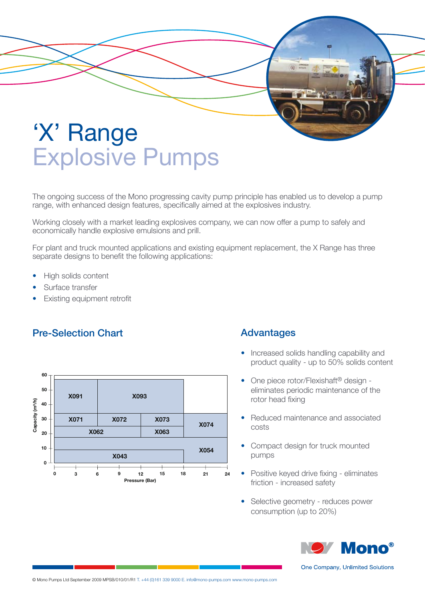

The ongoing success of the Mono progressing cavity pump principle has enabled us to develop a pump range, with enhanced design features, specifically aimed at the explosives industry.

Working closely with a market leading explosives company, we can now offer a pump to safely and economically handle explosive emulsions and prill.

For plant and truck mounted applications and existing equipment replacement, the X Range has three separate designs to benefit the following applications:

- High solids content
- Surface transfer
- **Existing equipment retrofit**

## Pre-Selection Chart



## Advantages

- Increased solids handling capability and product quality - up to 50% solids content
- One piece rotor/Flexishaft<sup>®</sup> design eliminates periodic maintenance of the rotor head fixing
- Reduced maintenance and associated costs
- Compact design for truck mounted pumps
- Positive keyed drive fixing eliminates friction - increased safety
- Selective geometry reduces power consumption (up to 20%)



One Company, Unlimited Solutions